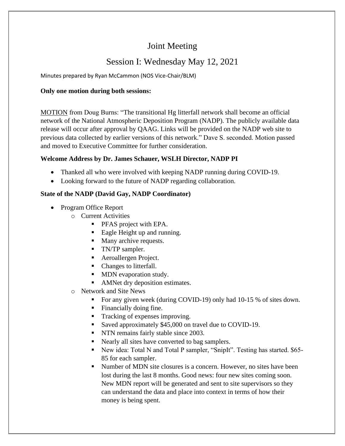# Joint Meeting

# Session I: Wednesday May 12, 2021

Minutes prepared by Ryan McCammon (NOS Vice-Chair/BLM)

### **Only one motion during both sessions:**

MOTION from Doug Burns: "The transitional Hg litterfall network shall become an official network of the National Atmospheric Deposition Program (NADP). The publicly available data release will occur after approval by QAAG. Links will be provided on the NADP web site to previous data collected by earlier versions of this network." Dave S. seconded. Motion passed and moved to Executive Committee for further consideration.

# **Welcome Address by Dr. James Schauer, WSLH Director, NADP PI**

- Thanked all who were involved with keeping NADP running during COVID-19.
- Looking forward to the future of NADP regarding collaboration.

#### **State of the NADP (David Gay, NADP Coordinator)**

- Program Office Report
	- o Current Activities
		- **•** PFAS project with EPA.
		- Eagle Height up and running.
		- Many archive requests.
		- **•** TN/TP sampler.
		- Aeroallergen Project.
		- Changes to litterfall.
		- MDN evaporation study.
		- AMNet dry deposition estimates.
	- o Network and Site News
		- For any given week (during COVID-19) only had 10-15 % of sites down.
		- Financially doing fine.
		- Tracking of expenses improving.
		- Saved approximately \$45,000 on travel due to COVID-19.
		- NTN remains fairly stable since 2003.
		- Nearly all sites have converted to bag samplers.
		- New idea: Total N and Total P sampler, "SnipIt". Testing has started. \$65-85 for each sampler.
		- Number of MDN site closures is a concern. However, no sites have been lost during the last 8 months. Good news: four new sites coming soon. New MDN report will be generated and sent to site supervisors so they can understand the data and place into context in terms of how their money is being spent.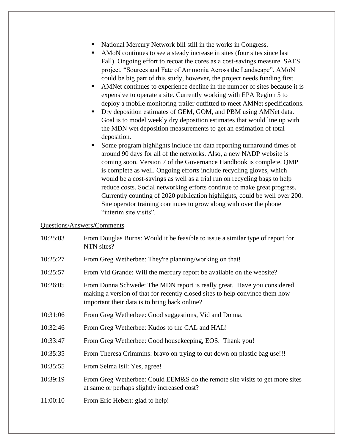- National Mercury Network bill still in the works in Congress.
- AMoN continues to see a steady increase in sites (four sites since last Fall). Ongoing effort to recoat the cores as a cost-savings measure. SAES project, "Sources and Fate of Ammonia Across the Landscape". AMoN could be big part of this study, however, the project needs funding first.
- AMNet continues to experience decline in the number of sites because it is expensive to operate a site. Currently working with EPA Region 5 to deploy a mobile monitoring trailer outfitted to meet AMNet specifications.
- Dry deposition estimates of GEM, GOM, and PBM using AMNet data. Goal is to model weekly dry deposition estimates that would line up with the MDN wet deposition measurements to get an estimation of total deposition.
- Some program highlights include the data reporting turnaround times of around 90 days for all of the networks. Also, a new NADP website is coming soon. Version 7 of the Governance Handbook is complete. QMP is complete as well. Ongoing efforts include recycling gloves, which would be a cost-savings as well as a trial run on recycling bags to help reduce costs. Social networking efforts continue to make great progress. Currently counting of 2020 publication highlights, could be well over 200. Site operator training continues to grow along with over the phone "interim site visits".

| 10:25:03 | From Douglas Burns: Would it be feasible to issue a similar type of report for<br>NTN sites?                                                                                                             |
|----------|----------------------------------------------------------------------------------------------------------------------------------------------------------------------------------------------------------|
| 10:25:27 | From Greg Wetherbee: They're planning/working on that!                                                                                                                                                   |
| 10:25:57 | From Vid Grande: Will the mercury report be available on the website?                                                                                                                                    |
| 10:26:05 | From Donna Schwede: The MDN report is really great. Have you considered<br>making a version of that for recently closed sites to help convince them how<br>important their data is to bring back online? |
| 10:31:06 | From Greg Wetherbee: Good suggestions, Vid and Donna.                                                                                                                                                    |
| 10:32:46 | From Greg Wetherbee: Kudos to the CAL and HAL!                                                                                                                                                           |
| 10:33:47 | From Greg Wetherbee: Good housekeeping, EOS. Thank you!                                                                                                                                                  |
| 10:35:35 | From Theresa Crimmins: bravo on trying to cut down on plastic bag use!!!                                                                                                                                 |
| 10:35:55 | From Selma Isil: Yes, agree!                                                                                                                                                                             |
| 10:39:19 | From Greg Wetherbee: Could EEM&S do the remote site visits to get more sites<br>at same or perhaps slightly increased cost?                                                                              |
| 11:00:10 | From Eric Hebert: glad to help!                                                                                                                                                                          |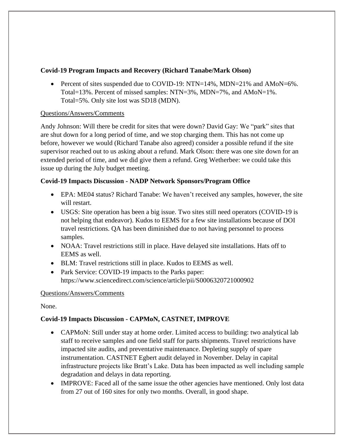### **Covid-19 Program Impacts and Recovery (Richard Tanabe/Mark Olson)**

• Percent of sites suspended due to COVID-19:  $NTN=14\%$ ,  $MDN=21\%$  and  $AMoN=6\%$ . Total=13%. Percent of missed samples: NTN=3%, MDN=7%, and AMoN=1%. Total=5%. Only site lost was SD18 (MDN).

#### Questions/Answers/Comments

Andy Johnson: Will there be credit for sites that were down? David Gay: We "park" sites that are shut down for a long period of time, and we stop charging them. This has not come up before, however we would (Richard Tanabe also agreed) consider a possible refund if the site supervisor reached out to us asking about a refund. Mark Olson: there was one site down for an extended period of time, and we did give them a refund. Greg Wetherbee: we could take this issue up during the July budget meeting.

# **Covid-19 Impacts Discussion - NADP Network Sponsors/Program Office**

- EPA: ME04 status? Richard Tanabe: We haven't received any samples, however, the site will restart.
- USGS: Site operation has been a big issue. Two sites still need operators (COVID-19 is not helping that endeavor). Kudos to EEMS for a few site installations because of DOI travel restrictions. QA has been diminished due to not having personnel to process samples.
- NOAA: Travel restrictions still in place. Have delayed site installations. Hats off to EEMS as well.
- BLM: Travel restrictions still in place. Kudos to EEMS as well.
- Park Service: COVID-19 impacts to the Parks paper: https://www.sciencedirect.com/science/article/pii/S0006320721000902

# Questions/Answers/Comments

None.

# **Covid-19 Impacts Discussion - CAPMoN, CASTNET, IMPROVE**

- CAPMoN: Still under stay at home order. Limited access to building: two analytical lab staff to receive samples and one field staff for parts shipments. Travel restrictions have impacted site audits, and preventative maintenance. Depleting supply of spare instrumentation. CASTNET Egbert audit delayed in November. Delay in capital infrastructure projects like Bratt's Lake. Data has been impacted as well including sample degradation and delays in data reporting.
- IMPROVE: Faced all of the same issue the other agencies have mentioned. Only lost data from 27 out of 160 sites for only two months. Overall, in good shape.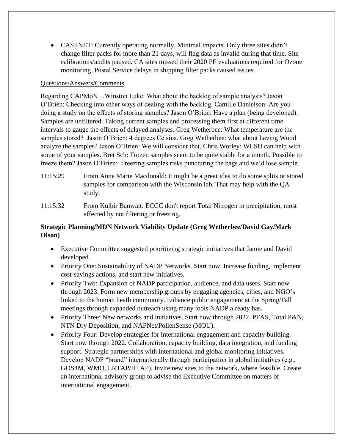• CASTNET: Currently operating normally. Minimal impacts. Only three sites didn't change filter packs for more than 21 days, will flag data as invalid during that time. Site calibrations/audits paused. CA sites missed their 2020 PE evaluations required for Ozone monitoring. Postal Service delays in shipping filter packs caused issues.

#### Questions/Answers/Comments

Regarding CAPMoN…Winston Luke: What about the backlog of sample analysis? Jason O'Brien: Checking into other ways of dealing with the backlog. Camille Danielson: Are you doing a study on the effects of storing samples? Jason O'Brien: Have a plan (being developed). Samples are unfiltered. Taking current samples and processing them first at different time intervals to gauge the effects of delayed analyses. Greg Wetherbee: What temperature are the samples stored? Jason O'Brien: 4 degrees Celsius. Greg Wetherbee: what about having Wood analyze the samples? Jason O'Brien: We will consider that. Chris Worley: WLSH can help with some of your samples. Bret Sch: Frozen samples seem to be quite stable for a month. Possible to freeze them? Jason O'Brien: Freezing samples risks puncturing the bags and we'd lose sample.

- 11:15:29 From Anne Marie Macdonald: It might be a great idea to do some splits or stored samples for comparison with the Wisconsin lab. That may help with the QA study.
- 11:15:32 From Kulbir Banwait: ECCC don't report Total Nitrogen in precipitation, most affected by not filtering or freezing.

### **Strategic Planning/MDN Network Viability Update (Greg Wetherbee/David Gay/Mark Olson)**

- Executive Committee suggested prioritizing strategic initiatives that Jamie and David developed.
- Priority One: Sustainability of NADP Networks. Start now. Increase funding, implement cost-savings actions, and start new initiatives.
- Priority Two: Expansion of NADP participation, audience, and data users. Start now through 2023. Form new membership groups by engaging agencies, cities, and NGO's linked to the human heath community. Enhance public engagement at the Spring/Fall meetings through expanded outreach using many tools NADP already has.
- Priority Three: New networks and initiatives. Start now through 2022. PFAS, Total P&N, NTN Dry Deposition, and NAPNet/PollenSense (MOU).
- Priority Four: Develop strategies for international engagement and capacity building. Start now through 2022. Collaboration, capacity building, data integration, and funding support. Strategic partnerships with international and global monitoring initiatives. Develop NADP "brand" internationally through participation in global initiatives (e.g., GOS4M, WMO, LRTAP/HTAP). Invite new sites to the network, where feasible. Create an international advisory group to advise the Executive Committee on matters of international engagement.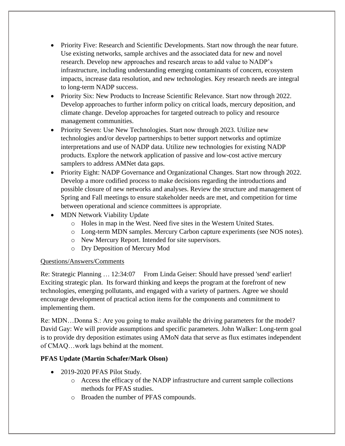- Priority Five: Research and Scientific Developments. Start now through the near future. Use existing networks, sample archives and the associated data for new and novel research. Develop new approaches and research areas to add value to NADP's infrastructure, including understanding emerging contaminants of concern, ecosystem impacts, increase data resolution, and new technologies. Key research needs are integral to long-term NADP success.
- Priority Six: New Products to Increase Scientific Relevance. Start now through 2022. Develop approaches to further inform policy on critical loads, mercury deposition, and climate change. Develop approaches for targeted outreach to policy and resource management communities.
- Priority Seven: Use New Technologies. Start now through 2023. Utilize new technologies and/or develop partnerships to better support networks and optimize interpretations and use of NADP data. Utilize new technologies for existing NADP products. Explore the network application of passive and low-cost active mercury samplers to address AMNet data gaps.
- Priority Eight: NADP Governance and Organizational Changes. Start now through 2022. Develop a more codified process to make decisions regarding the introductions and possible closure of new networks and analyses. Review the structure and management of Spring and Fall meetings to ensure stakeholder needs are met, and competition for time between operational and science committees is appropriate.
- MDN Network Viability Update
	- o Holes in map in the West. Need five sites in the Western United States.
	- o Long-term MDN samples. Mercury Carbon capture experiments (see NOS notes).
	- o New Mercury Report. Intended for site supervisors.
	- o Dry Deposition of Mercury Mod

Re: Strategic Planning … 12:34:07 From Linda Geiser: Should have pressed 'send' earlier! Exciting strategic plan. Its forward thinking and keeps the program at the forefront of new technologies, emerging pollutants, and engaged with a variety of partners. Agree we should encourage development of practical action items for the components and commitment to implementing them.

Re: MDN…Donna S.: Are you going to make available the driving parameters for the model? David Gay: We will provide assumptions and specific parameters. John Walker: Long-term goal is to provide dry deposition estimates using AMoN data that serve as flux estimates independent of CMAQ…work lags behind at the moment.

# **PFAS Update (Martin Schafer/Mark Olson)**

- 2019-2020 PFAS Pilot Study.
	- o Access the efficacy of the NADP infrastructure and current sample collections methods for PFAS studies.
	- o Broaden the number of PFAS compounds.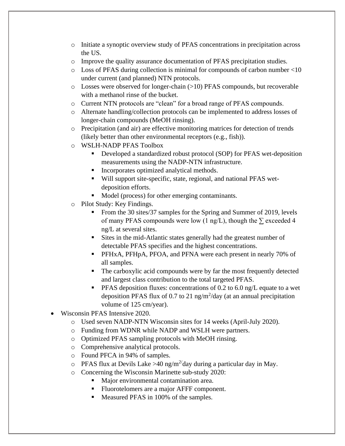- o Initiate a synoptic overview study of PFAS concentrations in precipitation across the US.
- o Improve the quality assurance documentation of PFAS precipitation studies.
- o Loss of PFAS during collection is minimal for compounds of carbon number <10 under current (and planned) NTN protocols.
- o Losses were observed for longer-chain (>10) PFAS compounds, but recoverable with a methanol rinse of the bucket.
- o Current NTN protocols are "clean" for a broad range of PFAS compounds.
- o Alternate handling/collection protocols can be implemented to address losses of longer-chain compounds (MeOH rinsing).
- o Precipitation (and air) are effective monitoring matrices for detection of trends (likely better than other environmental receptors (e.g., fish)).
- o WSLH-NADP PFAS Toolbox
	- Developed a standardized robust protocol (SOP) for PFAS wet-deposition measurements using the NADP-NTN infrastructure.
	- Incorporates optimized analytical methods.
	- Will support site-specific, state, regional, and national PFAS wetdeposition efforts.
	- Model (process) for other emerging contaminants.
- o Pilot Study: Key Findings.
	- From the 30 sites/37 samples for the Spring and Summer of 2019, levels of many PFAS compounds were low (1 ng/L), though the  $\Sigma$  exceeded 4 ng/L at several sites.
	- Sites in the mid-Atlantic states generally had the greatest number of detectable PFAS specifies and the highest concentrations.
	- PFHxA, PFHpA, PFOA, and PFNA were each present in nearly 70% of all samples.
	- The carboxylic acid compounds were by far the most frequently detected and largest class contribution to the total targeted PFAS.
	- **PFAS deposition fluxes: concentrations of 0.2 to 6.0 ng/L equate to a wet** deposition PFAS flux of 0.7 to 21 ng/m<sup>2</sup>/day (at an annual precipitation volume of 125 cm/year).
- Wisconsin PFAS Intensive 2020.
	- o Used seven NADP-NTN Wisconsin sites for 14 weeks (April-July 2020).
	- o Funding from WDNR while NADP and WSLH were partners.
	- o Optimized PFAS sampling protocols with MeOH rinsing.
	- o Comprehensive analytical protocols.
	- o Found PFCA in 94% of samples.
	- o PFAS flux at Devils Lake >40 ng/m<sup>2/</sup>day during a particular day in May.
	- o Concerning the Wisconsin Marinette sub-study 2020:
		- Major environmental contamination area.
		- Fluorotelomers are a major AFFF component.
		- Measured PFAS in 100% of the samples.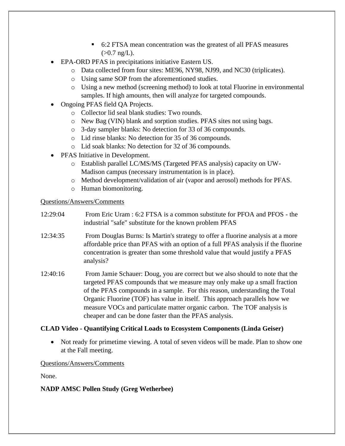- 6:2 FTSA mean concentration was the greatest of all PFAS measures  $(>0.7$  ng/L).
- EPA-ORD PFAS in precipitations initiative Eastern US.
	- o Data collected from four sites: ME96, NY98, NJ99, and NC30 (triplicates).
	- o Using same SOP from the aforementioned studies.
	- o Using a new method (screening method) to look at total Fluorine in environmental samples. If high amounts, then will analyze for targeted compounds.
- Ongoing PFAS field QA Projects.
	- o Collector lid seal blank studies: Two rounds.
	- o New Bag (VIN) blank and sorption studies. PFAS sites not using bags.
	- o 3-day sampler blanks: No detection for 33 of 36 compounds.
	- o Lid rinse blanks: No detection for 35 of 36 compounds.
	- o Lid soak blanks: No detection for 32 of 36 compounds.
- PFAS Initiative in Development.
	- o Establish parallel LC/MS/MS (Targeted PFAS analysis) capacity on UW-Madison campus (necessary instrumentation is in place).
	- o Method development/validation of air (vapor and aerosol) methods for PFAS.
	- o Human biomonitoring.

- 12:29:04 From Eric Uram : 6:2 FTSA is a common substitute for PFOA and PFOS the industrial "safe" substitute for the known problem PFAS
- 12:34:35 From Douglas Burns: Is Martin's strategy to offer a fluorine analysis at a more affordable price than PFAS with an option of a full PFAS analysis if the fluorine concentration is greater than some threshold value that would justify a PFAS analysis?
- 12:40:16 From Jamie Schauer: Doug, you are correct but we also should to note that the targeted PFAS compounds that we measure may only make up a small fraction of the PFAS compounds in a sample. For this reason, understanding the Total Organic Fluorine (TOF) has value in itself. This approach parallels how we measure VOCs and particulate matter organic carbon. The TOF analysis is cheaper and can be done faster than the PFAS analysis.

# **CLAD Video - Quantifying Critical Loads to Ecosystem Components (Linda Geiser)**

• Not ready for primetime viewing. A total of seven videos will be made. Plan to show one at the Fall meeting.

# Questions/Answers/Comments

None.

# **NADP AMSC Pollen Study (Greg Wetherbee)**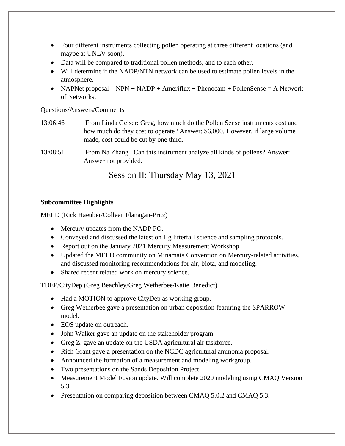- Four different instruments collecting pollen operating at three different locations (and maybe at UNLV soon).
- Data will be compared to traditional pollen methods, and to each other.
- Will determine if the NADP/NTN network can be used to estimate pollen levels in the atmosphere.
- NAPNet proposal NPN + NADP + Ameriflux + Phenocam + PollenSense = A Network of Networks.

- 13:06:46 From Linda Geiser: Greg, how much do the Pollen Sense instruments cost and how much do they cost to operate? Answer: \$6,000. However, if large volume made, cost could be cut by one third.
- 13:08:51 From Na Zhang : Can this instrument analyze all kinds of pollens? Answer: Answer not provided.

# Session II: Thursday May 13, 2021

#### **Subcommittee Highlights**

MELD (Rick Haeuber/Colleen Flanagan-Pritz)

- Mercury updates from the NADP PO.
- Conveyed and discussed the latest on Hg litterfall science and sampling protocols.
- Report out on the January 2021 Mercury Measurement Workshop.
- Updated the MELD community on Minamata Convention on Mercury-related activities, and discussed monitoring recommendations for air, biota, and modeling.
- Shared recent related work on mercury science.

TDEP/CityDep (Greg Beachley/Greg Wetherbee/Katie Benedict)

- Had a MOTION to approve CityDep as working group.
- Greg Wetherbee gave a presentation on urban deposition featuring the SPARROW model.
- EOS update on outreach.
- John Walker gave an update on the stakeholder program.
- Greg Z. gave an update on the USDA agricultural air taskforce.
- Rich Grant gave a presentation on the NCDC agricultural ammonia proposal.
- Announced the formation of a measurement and modeling workgroup.
- Two presentations on the Sands Deposition Project.
- Measurement Model Fusion update. Will complete 2020 modeling using CMAQ Version 5.3.
- Presentation on comparing deposition between CMAQ 5.0.2 and CMAQ 5.3.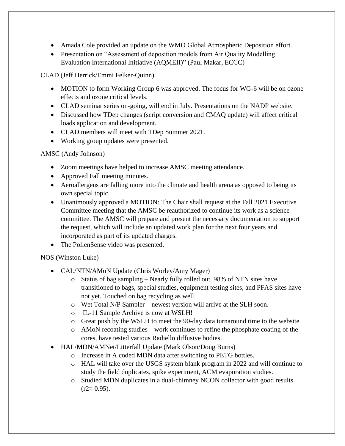- Amada Cole provided an update on the WMO Global Atmospheric Deposition effort.
- Presentation on "Assessment of deposition models from Air Quality Modelling Evaluation International Initiative (AQMEII)" (Paul Makar, ECCC)

CLAD (Jeff Herrick/Emmi Felker-Quinn)

- MOTION to form Working Group 6 was approved. The focus for WG-6 will be on ozone effects and ozone critical levels.
- CLAD seminar series on-going, will end in July. Presentations on the NADP website.
- Discussed how TDep changes (script conversion and CMAQ update) will affect critical loads application and development.
- CLAD members will meet with TDep Summer 2021.
- Working group updates were presented.

AMSC (Andy Johnson)

- Zoom meetings have helped to increase AMSC meeting attendance.
- Approved Fall meeting minutes.
- Aeroallergens are falling more into the climate and health arena as opposed to being its own special topic.
- Unanimously approved a MOTION: The Chair shall request at the Fall 2021 Executive Committee meeting that the AMSC be reauthorized to continue its work as a science committee. The AMSC will prepare and present the necessary documentation to support the request, which will include an updated work plan for the next four years and incorporated as part of its updated charges.
- The PollenSense video was presented.

# NOS (Winston Luke)

- CAL/NTN/AMoN Update (Chris Worley/Amy Mager)
	- o Status of bag sampling Nearly fully rolled out. 98% of NTN sites have transitioned to bags, special studies, equipment testing sites, and PFAS sites have not yet. Touched on bag recycling as well.
	- o Wet Total N/P Sampler newest version will arrive at the SLH soon.
	- o IL-11 Sample Archive is now at WSLH!
	- o Great push by the WSLH to meet the 90-day data turnaround time to the website.
	- $\circ$  AMoN recoating studies work continues to refine the phosphate coating of the cores, have tested various Radiello diffusive bodies.
- HAL/MDN/AMNet/Litterfall Update (Mark Olson/Doug Burns)
	- o Increase in A coded MDN data after switching to PETG bottles.
	- o HAL will take over the USGS system blank program in 2022 and will continue to study the field duplicates, spike experiment, ACM evaporation studies.
	- o Studied MDN duplicates in a dual-chimney NCON collector with good results  $(r2=0.95)$ .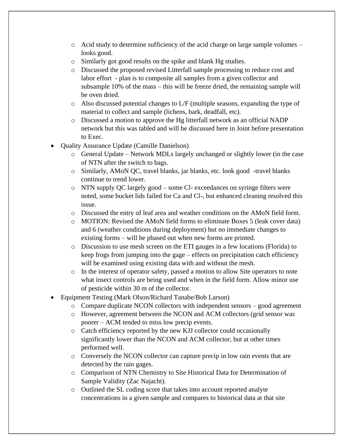- $\circ$  Acid study to determine sufficiency of the acid charge on large sample volumes looks good.
- o Similarly got good results on the spike and blank Hg studies.
- o Discussed the proposed revised Litterfall sample processing to reduce cost and labor effort - plan is to composite all samples from a given collector and subsample 10% of the mass – this will be freeze dried, the remaining sample will be oven dried.
- o Also discussed potential changes to L/F (multiple seasons, expanding the type of material to collect and sample (lichens, bark, deadfall, etc).
- o Discussed a motion to approve the Hg litterfall network as an official NADP network but this was tabled and will be discussed here in Joint before presentation to Exec.
- Quality Assurance Update (Camille Danielson)
	- o General Update Network MDLs largely unchanged or slightly lower (in the case of NTN after the switch to bags.
	- o Similarly, AMoN QC, travel blanks, jar blanks, etc. look good -travel blanks continue to trend lower.
	- o NTN supply QC largely good some Cl- exceedances on syringe filters were noted, some bucket lids failed for Ca and Cl-, but enhanced cleaning resolved this issue.
	- o Discussed the entry of leaf area and weather conditions on the AMoN field form.
	- o MOTION: Revised the AMoN field forms to eliminate Boxes 5 (leak cover data) and 6 (weather conditions during deployment) but no immediate changes to existing forms – will be phased out when new forms are printed.
	- o Discussion to use mesh screen on the ETI gauges in a few locations (Florida) to keep frogs from jumping into the gage – effects on precipitation catch efficiency will be examined using existing data with and without the mesh.
	- $\circ$  In the interest of operator safety, passed a motion to allow Site operators to note what insect controls are being used and when in the field form. Allow minor use of pesticide within 30 m of the collector.
- Equipment Testing (Mark Olson/Richard Tanabe/Bob Larson)
	- $\circ$  Compare duplicate NCON collectors with independent sensors good agreement
	- o However, agreement between the NCON and ACM collectors (grid sensor was poorer – ACM tended to miss low precip events.
	- o Catch efficiency reported by the new KJJ collector could occasionally significantly lower than the NCON and ACM collector, but at other times performed well.
	- o Conversely the NCON collector can capture precip in low rain events that are detected by the rain gages.
	- o Comparison of NTN Chemistry to Site Historical Data for Determination of Sample Validity (Zac Najacht).
	- o Outlined the SL coding score that takes into account reported analyte concentrations in a given sample and compares to historical data at that site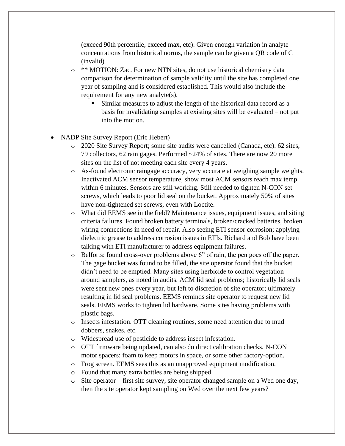(exceed 90th percentile, exceed max, etc). Given enough variation in analyte concentrations from historical norms, the sample can be given a QR code of C (invalid).

- o \*\* MOTION: Zac. For new NTN sites, do not use historical chemistry data comparison for determination of sample validity until the site has completed one year of sampling and is considered established. This would also include the requirement for any new analyte(s).
	- Similar measures to adjust the length of the historical data record as a basis for invalidating samples at existing sites will be evaluated – not put into the motion.
- NADP Site Survey Report (Eric Hebert)
	- o 2020 Site Survey Report; some site audits were cancelled (Canada, etc). 62 sites, 79 collectors, 62 rain gages. Performed ~24% of sites. There are now 20 more sites on the list of not meeting each site every 4 years.
	- o As-found electronic raingage accuracy, very accurate at weighing sample weights. Inactivated ACM sensor temperature, show most ACM sensors reach max temp within 6 minutes. Sensors are still working. Still needed to tighten N-CON set screws, which leads to poor lid seal on the bucket. Approximately 50% of sites have non-tightened set screws, even with Loctite.
	- o What did EEMS see in the field? Maintenance issues, equipment issues, and siting criteria failures. Found broken battery terminals, broken/cracked batteries, broken wiring connections in need of repair. Also seeing ETI sensor corrosion; applying dielectric grease to address corrosion issues in ETIs. Richard and Bob have been talking with ETI manufacturer to address equipment failures.
	- o Belforts: found cross-over problems above 6" of rain, the pen goes off the paper. The gage bucket was found to be filled, the site operator found that the bucket didn't need to be emptied. Many sites using herbicide to control vegetation around samplers, as noted in audits. ACM lid seal problems; historically lid seals were sent new ones every year, but left to discretion of site operator; ultimately resulting in lid seal problems. EEMS reminds site operator to request new lid seals. EEMS works to tighten lid hardware. Some sites having problems with plastic bags.
	- o Insects infestation. OTT cleaning routines, some need attention due to mud dobbers, snakes, etc.
	- o Widespread use of pesticide to address insect infestation.
	- o OTT firmware being updated, can also do direct calibration checks. N-CON motor spacers: foam to keep motors in space, or some other factory-option.
	- o Frog screen. EEMS sees this as an unapproved equipment modification.
	- o Found that many extra bottles are being shipped.
	- o Site operator first site survey, site operator changed sample on a Wed one day, then the site operator kept sampling on Wed over the next few years?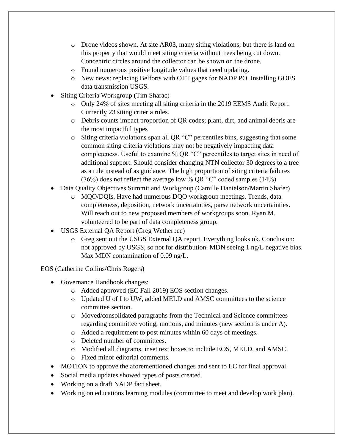- o Drone videos shown. At site AR03, many siting violations; but there is land on this property that would meet siting criteria without trees being cut down. Concentric circles around the collector can be shown on the drone.
- o Found numerous positive longitude values that need updating.
- o New news: replacing Belforts with OTT gages for NADP PO. Installing GOES data transmission USGS.
- Siting Criteria Workgroup (Tim Sharac)
	- o Only 24% of sites meeting all siting criteria in the 2019 EEMS Audit Report. Currently 23 siting criteria rules.
	- o Debris counts impact proportion of QR codes; plant, dirt, and animal debris are the most impactful types
	- o Siting criteria violations span all QR "C" percentiles bins, suggesting that some common siting criteria violations may not be negatively impacting data completeness. Useful to examine % QR "C" percentiles to target sites in need of additional support. Should consider changing NTN collector 30 degrees to a tree as a rule instead of as guidance. The high proportion of siting criteria failures (76%) does not reflect the average low % QR "C" coded samples (14%)
- Data Quality Objectives Summit and Workgroup (Camille Danielson/Martin Shafer)
	- o MQO/DQIs. Have had numerous DQO workgroup meetings. Trends, data completeness, deposition, network uncertainties, parse network uncertainties. Will reach out to new proposed members of workgroups soon. Ryan M. volunteered to be part of data completeness group.
- USGS External QA Report (Greg Wetherbee)
	- o Greg sent out the USGS External QA report. Everything looks ok. Conclusion: not approved by USGS, so not for distribution. MDN seeing 1 ng/L negative bias. Max MDN contamination of 0.09 ng/L.

EOS (Catherine Collins/Chris Rogers)

- Governance Handbook changes:
	- o Added approved (EC Fall 2019) EOS section changes.
	- $\circ$  Updated U of I to UW, added MELD and AMSC committees to the science committee section.
	- o Moved/consolidated paragraphs from the Technical and Science committees regarding committee voting, motions, and minutes (new section is under A).
	- o Added a requirement to post minutes within 60 days of meetings.
	- o Deleted number of committees.
	- o Modified all diagrams, inset text boxes to include EOS, MELD, and AMSC.
	- o Fixed minor editorial comments.
- MOTION to approve the aforementioned changes and sent to EC for final approval.
- Social media updates showed types of posts created.
- Working on a draft NADP fact sheet.
- Working on educations learning modules (committee to meet and develop work plan).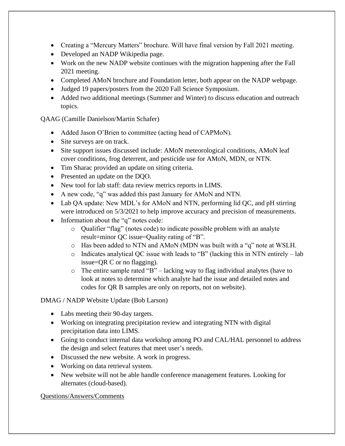- Creating a "Mercury Matters" brochure. Will have final version by Fall 2021 meeting.
- Developed an NADP Wikipedia page.
- Work on the new NADP website continues with the migration happening after the Fall 2021 meeting.
- Completed AMoN brochure and Foundation letter, both appear on the NADP webpage.
- Judged 19 papers/posters from the 2020 Fall Science Symposium.
- Added two additional meetings (Summer and Winter) to discuss education and outreach topics.

QAAG (Camille Danielson/Martin Schafer)

- Added Jason O'Brien to committee (acting head of CAPMoN).
- Site surveys are on track.
- Site support issues discussed include: AMoN meteorological conditions, AMoN leaf cover conditions, frog deterrent, and pesticide use for AMoN, MDN, or NTN.
- Tim Sharac provided an update on siting criteria.
- Presented an update on the DQO.
- New tool for lab staff: data review metrics reports in LIMS.
- A new code, "q" was added this past January for AMoN and NTN.
- Lab QA update: New MDL's for AMoN and NTN, performing lid QC, and pH stirring were introduced on  $5/3/2021$  to help improve accuracy and precision of measurements.
- Information about the "q" notes code:
	- o Qualifier "flag" (notes code) to indicate possible problem with an analyte result=minor QC issue=Quality rating of "B".
	- o Has been added to NTN and AMoN (MDN was built with a "q" note at WSLH.
	- o Indicates analytical QC issue with leads to "B" (lacking this in NTN entirely lab issue=QR C or no flagging).
	- $\circ$  The entire sample rated "B" lacking way to flag individual analytes (have to look at notes to determine which analyte had the issue and detailed notes and codes for QR B samples are only on reports, not on website).

DMAG / NADP Website Update (Bob Larson)

- Labs meeting their 90-day targets.
- Working on integrating precipitation review and integrating NTN with digital precipitation data into LIMS.
- Going to conduct internal data workshop among PO and CAL/HAL personnel to address the design and select features that meet user's needs.
- Discussed the new website. A work in progress.
- Working on data retrieval system.
- New website will not be able handle conference management features. Looking for alternates (cloud-based).

Questions/Answers/Comments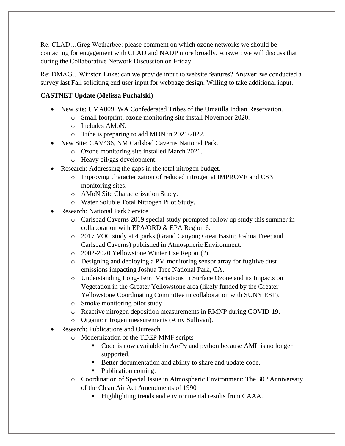Re: CLAD…Greg Wetherbee: please comment on which ozone networks we should be contacting for engagement with CLAD and NADP more broadly. Answer: we will discuss that during the Collaborative Network Discussion on Friday.

Re: DMAG…Winston Luke: can we provide input to website features? Answer: we conducted a survey last Fall soliciting end user input for webpage design. Willing to take additional input.

# **CASTNET Update (Melissa Puchalski)**

- New site: UMA009, WA Confederated Tribes of the Umatilla Indian Reservation.
	- o Small footprint, ozone monitoring site install November 2020.
	- o Includes AMoN.
	- o Tribe is preparing to add MDN in 2021/2022.
- New Site: CAV436, NM Carlsbad Caverns National Park.
	- o Ozone monitoring site installed March 2021.
	- o Heavy oil/gas development.
- Research: Addressing the gaps in the total nitrogen budget.
	- o Improving characterization of reduced nitrogen at IMPROVE and CSN monitoring sites.
	- o AMoN Site Characterization Study.
	- o Water Soluble Total Nitrogen Pilot Study.
- Research: National Park Service
	- o Carlsbad Caverns 2019 special study prompted follow up study this summer in collaboration with EPA/ORD & EPA Region 6.
	- o 2017 VOC study at 4 parks (Grand Canyon; Great Basin; Joshua Tree; and Carlsbad Caverns) published in Atmospheric Environment.
	- o 2002-2020 Yellowstone Winter Use Report (?).
	- o Designing and deploying a PM monitoring sensor array for fugitive dust emissions impacting Joshua Tree National Park, CA.
	- o Understanding Long-Term Variations in Surface Ozone and its Impacts on Vegetation in the Greater Yellowstone area (likely funded by the Greater Yellowstone Coordinating Committee in collaboration with SUNY ESF).
	- o Smoke monitoring pilot study.
	- o Reactive nitrogen deposition measurements in RMNP during COVID-19.
	- o Organic nitrogen measurements (Amy Sullivan).
- Research: Publications and Outreach
	- o Modernization of the TDEP MMF scripts
		- Code is now available in ArcPy and python because AML is no longer supported.
		- Better documentation and ability to share and update code.
		- Publication coming.
	- o Coordination of Special Issue in Atmospheric Environment: The 30<sup>th</sup> Anniversary of the Clean Air Act Amendments of 1990
		- Highlighting trends and environmental results from CAAA.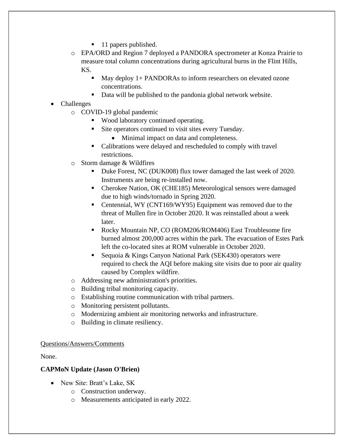- 11 papers published.
- o EPA/ORD and Region 7 deployed a PANDORA spectrometer at Konza Prairie to measure total column concentrations during agricultural burns in the Flint Hills, KS.
	- May deploy 1+ PANDORAs to inform researchers on elevated ozone concentrations.
	- Data will be published to the pandonia global network website.

# • Challenges

- o COVID-19 global pandemic
	- Wood laboratory continued operating.
	- Site operators continued to visit sites every Tuesday.
		- Minimal impact on data and completeness.
	- Calibrations were delayed and rescheduled to comply with travel restrictions.
- o Storm damage & Wildfires
	- Duke Forest, NC (DUK008) flux tower damaged the last week of 2020. Instruments are being re-installed now.
	- Cherokee Nation, OK (CHE185) Meteorological sensors were damaged due to high winds/tornado in Spring 2020.
	- Centennial, WY (CNT169/WY95) Equipment was removed due to the threat of Mullen fire in October 2020. It was reinstalled about a week later.
	- Rocky Mountain NP, CO (ROM206/ROM406) East Troublesome fire burned almost 200,000 acres within the park. The evacuation of Estes Park left the co-located sites at ROM vulnerable in October 2020.
	- Sequoia & Kings Canyon National Park (SEK430) operators were required to check the AQI before making site visits due to poor air quality caused by Complex wildfire.
- o Addressing new administration's priorities.
- o Building tribal monitoring capacity.
- o Establishing routine communication with tribal partners.
- o Monitoring persistent pollutants.
- o Modernizing ambient air monitoring networks and infrastructure.
- o Building in climate resiliency.

#### Questions/Answers/Comments

None.

# **CAPMoN Update (Jason O'Brien)**

- New Site: Bratt's Lake, SK
	- o Construction underway.
	- o Measurements anticipated in early 2022.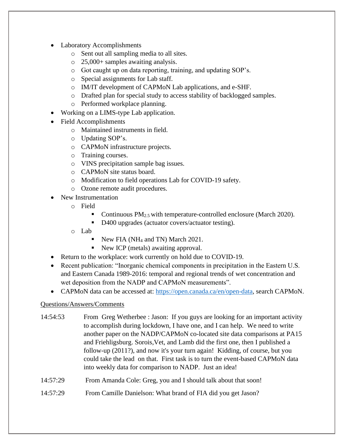- Laboratory Accomplishments
	- o Sent out all sampling media to all sites.
	- o 25,000+ samples awaiting analysis.
	- o Got caught up on data reporting, training, and updating SOP's.
	- o Special assignments for Lab staff.
	- o IM/IT development of CAPMoN Lab applications, and e-SHF.
	- o Drafted plan for special study to access stability of backlogged samples.
	- o Performed workplace planning.
- Working on a LIMS-type Lab application.
- Field Accomplishments
	- o Maintained instruments in field.
	- o Updating SOP's.
	- o CAPMoN infrastructure projects.
	- o Training courses.
	- o VINS precipitation sample bag issues.
	- o CAPMoN site status board.
	- o Modification to field operations Lab for COVID-19 safety.
	- o Ozone remote audit procedures.
- New Instrumentation
	- o Field
		- Continuous  $PM_{2.5}$  with temperature-controlled enclosure (March 2020).
		- D400 upgrades (actuator covers/actuator testing).
	- o Lab
		- $\blacksquare$  New FIA (NH<sub>4</sub> and TN) March 2021.
		- New ICP (metals) awaiting approval.
- Return to the workplace: work currently on hold due to COVID-19.
- Recent publication: "Inorganic chemical components in precipitation in the Eastern U.S. and Eastern Canada 1989-2016: temporal and regional trends of wet concentration and wet deposition from the NADP and CAPMoN measurements".
- CAPMoN data can be accessed at: [https://open.canada.ca/en/open-data,](https://open.canada.ca/en/open-data) search CAPMoN.

- 14:54:53 From Greg Wetherbee : Jason: If you guys are looking for an important activity to accomplish during lockdown, I have one, and I can help. We need to write another paper on the NADP/CAPMoN co-located site data comparisons at PA15 and Friehligsburg. Sorois,Vet, and Lamb did the first one, then I published a follow-up (2011?), and now it's your turn again! Kidding, of course, but you could take the lead on that. First task is to turn the event-based CAPMoN data into weekly data for comparison to NADP. Just an idea!
- 14:57:29 From Amanda Cole: Greg, you and I should talk about that soon!
- 14:57:29 From Camille Danielson: What brand of FIA did you get Jason?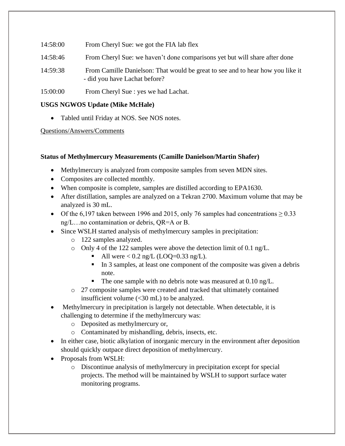- 14:58:00 From Cheryl Sue: we got the FIA lab flex
- 14:58:46 From Cheryl Sue: we haven't done comparisons yet but will share after done
- 14:59:38 From Camille Danielson: That would be great to see and to hear how you like it - did you have Lachat before?
- 15:00:00 From Cheryl Sue : yes we had Lachat.

#### **USGS NGWOS Update (Mike McHale)**

• Tabled until Friday at NOS. See NOS notes.

#### Questions/Answers/Comments

#### **Status of Methylmercury Measurements (Camille Danielson/Martin Shafer)**

- Methylmercury is analyzed from composite samples from seven MDN sites.
- Composites are collected monthly.
- When composite is complete, samples are distilled according to EPA1630.
- After distillation, samples are analyzed on a Tekran 2700. Maximum volume that may be analyzed is 30 mL.
- Of the 6,197 taken between 1996 and 2015, only 76 samples had concentrations  $\geq 0.33$ ng/L…no contamination or debris, QR=A or B.
- Since WSLH started analysis of methylmercury samples in precipitation:
	- o 122 samples analyzed.
	- o Only 4 of the 122 samples were above the detection limit of 0.1 ng/L.
		- All were  $< 0.2$  ng/L (LOQ=0.33 ng/L).
		- In 3 samples, at least one component of the composite was given a debris note.
		- The one sample with no debris note was measured at 0.10 ng/L.
	- o 27 composite samples were created and tracked that ultimately contained insufficient volume (<30 mL) to be analyzed.
- Methylmercury in precipitation is largely not detectable. When detectable, it is challenging to determine if the methylmercury was:
	- o Deposited as methylmercury or,
	- o Contaminated by mishandling, debris, insects, etc.
- In either case, biotic alkylation of inorganic mercury in the environment after deposition should quickly outpace direct deposition of methylmercury.
- Proposals from WSLH:
	- o Discontinue analysis of methylmercury in precipitation except for special projects. The method will be maintained by WSLH to support surface water monitoring programs.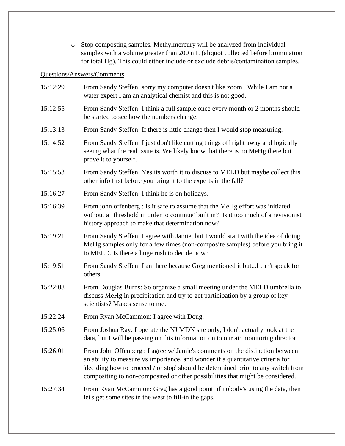o Stop composting samples. Methylmercury will be analyzed from individual samples with a volume greater than 200 mL (aliquot collected before bromination for total Hg). This could either include or exclude debris/contamination samples.

# Questions/Answers/Comments

| 15:12:29 | From Sandy Steffen: sorry my computer doesn't like zoom. While I am not a<br>water expert I am an analytical chemist and this is not good.                                                                                                                                                                                            |
|----------|---------------------------------------------------------------------------------------------------------------------------------------------------------------------------------------------------------------------------------------------------------------------------------------------------------------------------------------|
| 15:12:55 | From Sandy Steffen: I think a full sample once every month or 2 months should<br>be started to see how the numbers change.                                                                                                                                                                                                            |
| 15:13:13 | From Sandy Steffen: If there is little change then I would stop measuring.                                                                                                                                                                                                                                                            |
| 15:14:52 | From Sandy Steffen: I just don't like cutting things off right away and logically<br>seeing what the real issue is. We likely know that there is no MeHg there but<br>prove it to yourself.                                                                                                                                           |
| 15:15:53 | From Sandy Steffen: Yes its worth it to discuss to MELD but maybe collect this<br>other info first before you bring it to the experts in the fall?                                                                                                                                                                                    |
| 15:16:27 | From Sandy Steffen: I think he is on holidays.                                                                                                                                                                                                                                                                                        |
| 15:16:39 | From john offenberg : Is it safe to assume that the MeHg effort was initiated<br>without a 'threshold in order to continue' built in? Is it too much of a revisionist<br>history approach to make that determination now?                                                                                                             |
| 15:19:21 | From Sandy Steffen: I agree with Jamie, but I would start with the idea of doing<br>MeHg samples only for a few times (non-composite samples) before you bring it<br>to MELD. Is there a huge rush to decide now?                                                                                                                     |
| 15:19:51 | From Sandy Steffen: I am here because Greg mentioned it butI can't speak for<br>others.                                                                                                                                                                                                                                               |
| 15:22:08 | From Douglas Burns: So organize a small meeting under the MELD umbrella to<br>discuss MeHg in precipitation and try to get participation by a group of key<br>scientists? Makes sense to me.                                                                                                                                          |
| 15:22:24 | From Ryan McCammon: I agree with Doug.                                                                                                                                                                                                                                                                                                |
| 15:25:06 | From Joshua Ray: I operate the NJ MDN site only, I don't actually look at the<br>data, but I will be passing on this information on to our air monitoring director                                                                                                                                                                    |
| 15:26:01 | From John Offenberg : I agree w/ Jamie's comments on the distinction between<br>an ability to measure vs importance, and wonder if a quantitative criteria for<br>'deciding how to proceed / or stop' should be determined prior to any switch from<br>compositing to non-composited or other possibilities that might be considered. |
| 15:27:34 | From Ryan McCammon: Greg has a good point: if nobody's using the data, then<br>let's get some sites in the west to fill-in the gaps.                                                                                                                                                                                                  |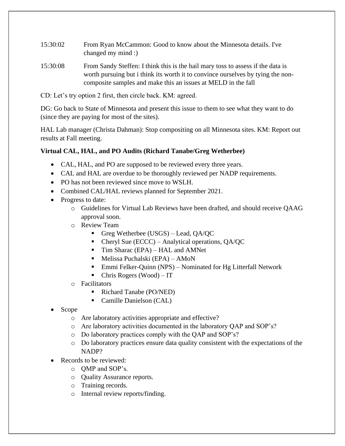- 15:30:02 From Ryan McCammon: Good to know about the Minnesota details. I've changed my mind :)
- 15:30:08 From Sandy Steffen: I think this is the hail mary toss to assess if the data is worth pursuing but i think its worth it to convince ourselves by tying the noncomposite samples and make this an issues at MELD in the fall
- CD: Let's try option 2 first, then circle back. KM: agreed.

DG: Go back to State of Minnesota and present this issue to them to see what they want to do (since they are paying for most of the sites).

HAL Lab manager (Christa Dahman): Stop compositing on all Minnesota sites. KM: Report out results at Fall meeting.

# **Virtual CAL, HAL, and PO Audits (Richard Tanabe/Greg Wetherbee)**

- CAL, HAL, and PO are supposed to be reviewed every three years.
- CAL and HAL are overdue to be thoroughly reviewed per NADP requirements.
- PO has not been reviewed since move to WSLH.
- Combined CAL/HAL reviews planned for September 2021.
- Progress to date:
	- o Guidelines for Virtual Lab Reviews have been drafted, and should receive QAAG approval soon.
	- o Review Team
		- Greg Wetherbee (USGS) Lead, QA/QC
		- Cheryl Sue (ECCC) Analytical operations, QA/QC
		- Tim Sharac (EPA) HAL and AMNet
		- $\blacksquare$  Melissa Puchalski (EPA) AMoN
		- Emmi Felker-Quinn (NPS) Nominated for Hg Litterfall Network
		- $\blacksquare$  Chris Rogers (Wood) IT
	- o Facilitators
		- Richard Tanabe (PO/NED)
		- Camille Danielson (CAL)
- Scope
	- o Are laboratory activities appropriate and effective?
	- o Are laboratory activities documented in the laboratory QAP and SOP's?
	- o Do laboratory practices comply with the QAP and SOP's?
	- o Do laboratory practices ensure data quality consistent with the expectations of the NADP?
- Records to be reviewed:
	- o QMP and SOP's.
	- o Quality Assurance reports.
	- o Training records.
	- o Internal review reports/finding.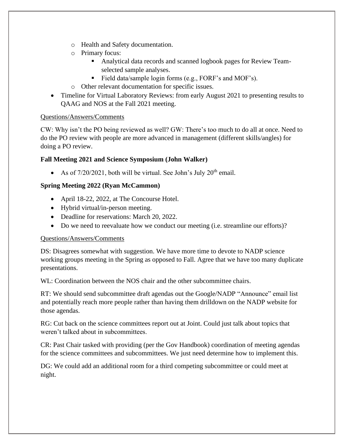- o Health and Safety documentation.
- o Primary focus:
	- Analytical data records and scanned logbook pages for Review Teamselected sample analyses.
	- Field data/sample login forms (e.g., FORF's and MOF's).
- o Other relevant documentation for specific issues.
- Timeline for Virtual Laboratory Reviews: from early August 2021 to presenting results to QAAG and NOS at the Fall 2021 meeting.

CW: Why isn't the PO being reviewed as well? GW: There's too much to do all at once. Need to do the PO review with people are more advanced in management (different skills/angles) for doing a PO review.

# **Fall Meeting 2021 and Science Symposium (John Walker)**

• As of  $7/20/2021$ , both will be virtual. See John's July  $20<sup>th</sup>$  email.

# **Spring Meeting 2022 (Ryan McCammon)**

- April 18-22, 2022, at The Concourse Hotel.
- Hybrid virtual/in-person meeting.
- Deadline for reservations: March 20, 2022.
- Do we need to reevaluate how we conduct our meeting (i.e. streamline our efforts)?

# Questions/Answers/Comments

DS: Disagrees somewhat with suggestion. We have more time to devote to NADP science working groups meeting in the Spring as opposed to Fall. Agree that we have too many duplicate presentations.

WL: Coordination between the NOS chair and the other subcommittee chairs.

RT: We should send subcommittee draft agendas out the Google/NADP "Announce" email list and potentially reach more people rather than having them drilldown on the NADP website for those agendas.

RG: Cut back on the science committees report out at Joint. Could just talk about topics that weren't talked about in subcommittees.

CR: Past Chair tasked with providing (per the Gov Handbook) coordination of meeting agendas for the science committees and subcommittees. We just need determine how to implement this.

DG: We could add an additional room for a third competing subcommittee or could meet at night.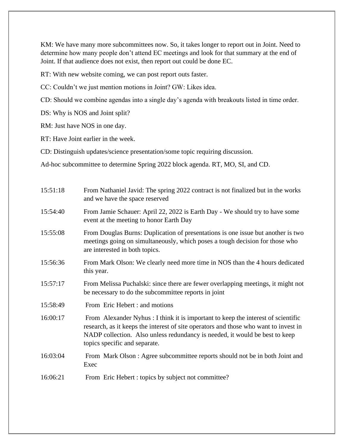KM: We have many more subcommittees now. So, it takes longer to report out in Joint. Need to determine how many people don't attend EC meetings and look for that summary at the end of Joint. If that audience does not exist, then report out could be done EC.

RT: With new website coming, we can post report outs faster.

CC: Couldn't we just mention motions in Joint? GW: Likes idea.

CD: Should we combine agendas into a single day's agenda with breakouts listed in time order.

DS: Why is NOS and Joint split?

RM: Just have NOS in one day.

RT: Have Joint earlier in the week.

CD: Distinguish updates/science presentation/some topic requiring discussion.

Ad-hoc subcommittee to determine Spring 2022 block agenda. RT, MO, SI, and CD.

| 15:51:18 | From Nathaniel Javid: The spring 2022 contract is not finalized but in the works<br>and we have the space reserved                                                                                                                                                                        |
|----------|-------------------------------------------------------------------------------------------------------------------------------------------------------------------------------------------------------------------------------------------------------------------------------------------|
| 15:54:40 | From Jamie Schauer: April 22, 2022 is Earth Day - We should try to have some<br>event at the meeting to honor Earth Day                                                                                                                                                                   |
| 15:55:08 | From Douglas Burns: Duplication of presentations is one issue but another is two<br>meetings going on simultaneously, which poses a tough decision for those who<br>are interested in both topics.                                                                                        |
| 15:56:36 | From Mark Olson: We clearly need more time in NOS than the 4 hours dedicated<br>this year.                                                                                                                                                                                                |
| 15:57:17 | From Melissa Puchalski: since there are fewer overlapping meetings, it might not<br>be necessary to do the subcommittee reports in joint                                                                                                                                                  |
| 15:58:49 | From Eric Hebert : and motions                                                                                                                                                                                                                                                            |
| 16:00:17 | From Alexander Nyhus : I think it is important to keep the interest of scientific<br>research, as it keeps the interest of site operators and those who want to invest in<br>NADP collection. Also unless redundancy is needed, it would be best to keep<br>topics specific and separate. |
| 16:03:04 | From Mark Olson: Agree subcommittee reports should not be in both Joint and<br>Exec                                                                                                                                                                                                       |
| 16:06:21 | From Eric Hebert : topics by subject not committee?                                                                                                                                                                                                                                       |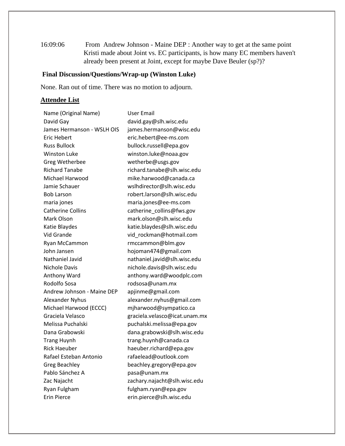16:09:06 From Andrew Johnson - Maine DEP : Another way to get at the same point Kristi made about Joint vs. EC participants, is how many EC members haven't already been present at Joint, except for maybe Dave Beuler (sp?)?

# **Final Discussion/Questions/Wrap-up (Winston Luke)**

None. Ran out of time. There was no motion to adjourn.

# **Attendee List**

| Name (Original Name)       | User Email                    |
|----------------------------|-------------------------------|
| David Gay                  | david.gay@slh.wisc.edu        |
| James Hermanson - WSLH OIS | james.hermanson@wisc.edu      |
| Eric Hebert                | eric.hebert@ee-ms.com         |
| <b>Russ Bullock</b>        | bullock.russell@epa.gov       |
| <b>Winston Luke</b>        | winston.luke@noaa.gov         |
| Greg Wetherbee             | wetherbe@usgs.gov             |
| <b>Richard Tanabe</b>      | richard.tanabe@slh.wisc.edu   |
| Michael Harwood            | mike.harwood@canada.ca        |
| Jamie Schauer              | wslhdirector@slh.wisc.edu     |
| <b>Bob Larson</b>          | robert.larson@slh.wisc.edu    |
| maria jones                | maria.jones@ee-ms.com         |
| <b>Catherine Collins</b>   | catherine_collins@fws.gov     |
| Mark Olson                 | mark.olson@slh.wisc.edu       |
| Katie Blaydes              | katie.blaydes@slh.wisc.edu    |
| Vid Grande                 | vid_rockman@hotmail.com       |
| Ryan McCammon              | rmccammon@blm.gov             |
| John Jansen                | hojoman474@gmail.com          |
| Nathaniel Javid            | nathaniel.javid@slh.wisc.edu  |
| <b>Nichole Davis</b>       | nichole.davis@slh.wisc.edu    |
| Anthony Ward               | anthony.ward@woodplc.com      |
| Rodolfo Sosa               | rodsosa@unam.mx               |
| Andrew Johnson - Maine DEP | apjinme@gmail.com             |
| Alexander Nyhus            | alexander.nyhus@gmail.com     |
| Michael Harwood (ECCC)     | mjharwood@sympatico.ca        |
| Graciela Velasco           | graciela.velasco@icat.unam.mx |
| Melissa Puchalski          | puchalski.melissa@epa.gov     |
| Dana Grabowski             | dana.grabowski@slh.wisc.edu   |
| <b>Trang Huynh</b>         | trang.huynh@canada.ca         |
| Rick Haeuber               | haeuber.richard@epa.gov       |
| Rafael Esteban Antonio     | rafaelead@outlook.com         |
| <b>Greg Beachley</b>       | beachley.gregory@epa.gov      |
| Pablo Sánchez A            | pasa@unam.mx                  |
| Zac Najacht                | zachary.najacht@slh.wisc.edu  |
| Ryan Fulgham               | fulgham.ryan@epa.gov          |
| <b>Erin Pierce</b>         | erin.pierce@slh.wisc.edu      |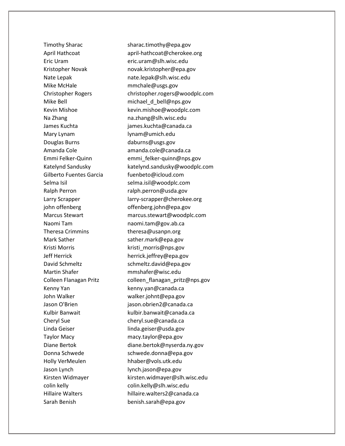Mike McHale **mmchale@usgs.gov** Mary Lynam lynam@umich.edu Douglas Burns daburns@usgs.gov Gilberto Fuentes Garcia fuenbeto@icloud.com Naomi Tam naomi.tam@gov.ab.ca Theresa Crimmins theresa@usanpn.org Mark Sather sather.mark@epa.gov Kristi Morris **Kristi** morris@nps.gov Martin Shafer mmshafer@wisc.edu Kenny Yan kenny.yan@canada.ca John Walker Walker walker.johnt@epa.gov Cheryl Sue cheryl.sue@canada.ca Linda Geiser **linda.geiser@usda.gov** Taylor Macy macy.taylor@epa.gov Holly VerMeulen hhaber@vols.utk.edu Jason Lynch lynch.jason@epa.gov Sarah Benish benish.sarah@epa.gov

Timothy Sharac sharac.timothy@epa.gov April Hathcoat april-hathcoat@cherokee.org Eric Uram eric.uram@slh.wisc.edu Kristopher Novak novak.kristopher@epa.gov Nate Lepak nate.lepak@slh.wisc.edu Christopher Rogers christopher.rogers@woodplc.com Mike Bell michael\_d\_bell@nps.gov Kevin Mishoe kevin.mishoe@woodplc.com Na Zhang na.zhang@slh.wisc.edu James Kuchta james.kuchta@canada.ca Amanda Cole amanda.cole@canada.ca Emmi Felker-Quinn emmi\_felker-quinn@nps.gov Katelynd Sandusky katelynd.sandusky@woodplc.com Selma Isil selma.isil@woodplc.com Ralph Perron ralph.perron@usda.gov Larry Scrapper larry-scrapper@cherokee.org john offenberg offenberg.john@epa.gov Marcus Stewart marcus.stewart@woodplc.com Jeff Herrick herrick.jeffrey@epa.gov David Schmeltz schmeltz.david@epa.gov Colleen Flanagan Pritz colleen\_flanagan\_pritz@nps.gov Jason O'Brien jason.obrien2@canada.ca Kulbir Banwait **Kulbir.banwait@canada.ca** Diane Bertok diane.bertok@nyserda.ny.gov Donna Schwede schwede.donna@epa.gov Kirsten Widmayer kirsten.widmayer@slh.wisc.edu colin kelly colin.kelly@slh.wisc.edu Hillaire Walters **hillaire.walters2@canada.ca**